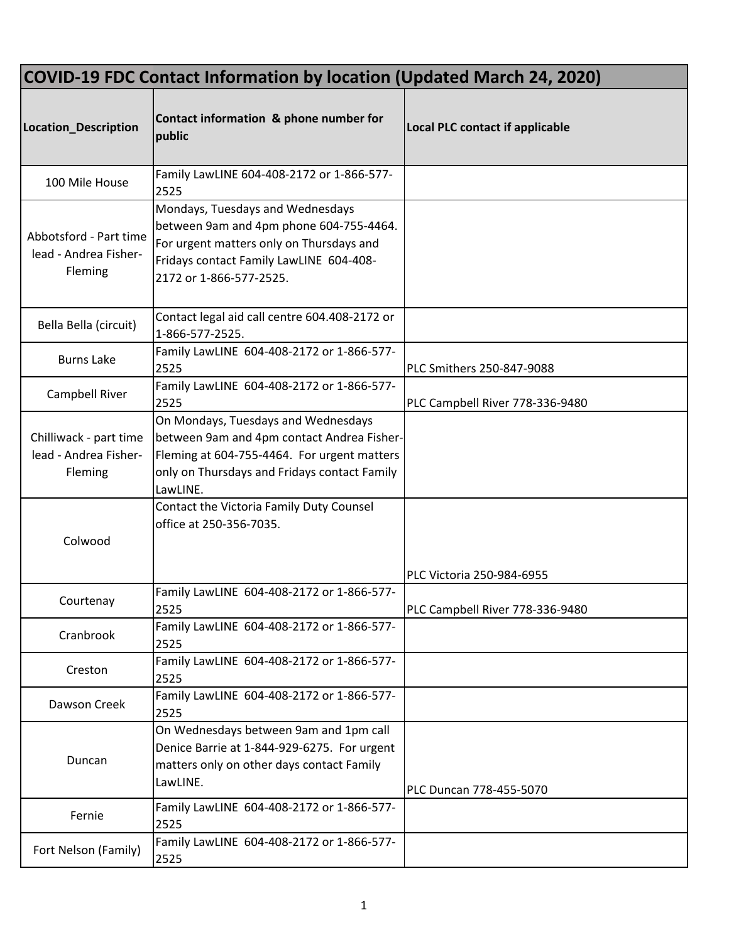| <b>COVID-19 FDC Contact Information by location (Updated March 24, 2020)</b> |                                                                                                                                                                                               |                                        |  |
|------------------------------------------------------------------------------|-----------------------------------------------------------------------------------------------------------------------------------------------------------------------------------------------|----------------------------------------|--|
| Location_Description                                                         | Contact information & phone number for<br>public                                                                                                                                              | <b>Local PLC contact if applicable</b> |  |
| 100 Mile House                                                               | Family LawLINE 604-408-2172 or 1-866-577-<br>2525                                                                                                                                             |                                        |  |
| Abbotsford - Part time<br>lead - Andrea Fisher-<br>Fleming                   | Mondays, Tuesdays and Wednesdays<br>between 9am and 4pm phone 604-755-4464.<br>For urgent matters only on Thursdays and<br>Fridays contact Family LawLINE 604-408-<br>2172 or 1-866-577-2525. |                                        |  |
| Bella Bella (circuit)                                                        | Contact legal aid call centre 604.408-2172 or<br>1-866-577-2525.                                                                                                                              |                                        |  |
| <b>Burns Lake</b>                                                            | Family LawLINE 604-408-2172 or 1-866-577-<br>2525                                                                                                                                             | PLC Smithers 250-847-9088              |  |
| Campbell River                                                               | Family LawLINE 604-408-2172 or 1-866-577-<br>2525                                                                                                                                             | PLC Campbell River 778-336-9480        |  |
| Chilliwack - part time<br>lead - Andrea Fisher-<br>Fleming                   | On Mondays, Tuesdays and Wednesdays<br>between 9am and 4pm contact Andrea Fisher-<br>Fleming at 604-755-4464. For urgent matters<br>only on Thursdays and Fridays contact Family<br>LawLINE.  |                                        |  |
| Colwood                                                                      | Contact the Victoria Family Duty Counsel<br>office at 250-356-7035.                                                                                                                           | PLC Victoria 250-984-6955              |  |
| Courtenay                                                                    | Family LawLINE 604-408-2172 or 1-866-577-<br>2525                                                                                                                                             | PLC Campbell River 778-336-9480        |  |
| Cranbrook                                                                    | Family LawLINE 604-408-2172 or 1-866-577-<br>2525                                                                                                                                             |                                        |  |
| Creston                                                                      | Family LawLINE 604-408-2172 or 1-866-577-<br>2525                                                                                                                                             |                                        |  |
| Dawson Creek                                                                 | Family LawLINE 604-408-2172 or 1-866-577-<br>2525                                                                                                                                             |                                        |  |
| Duncan                                                                       | On Wednesdays between 9am and 1pm call<br>Denice Barrie at 1-844-929-6275. For urgent<br>matters only on other days contact Family<br>LawLINE.                                                | PLC Duncan 778-455-5070                |  |
| Fernie                                                                       | Family LawLINE 604-408-2172 or 1-866-577-<br>2525                                                                                                                                             |                                        |  |
| Fort Nelson (Family)                                                         | Family LawLINE 604-408-2172 or 1-866-577-<br>2525                                                                                                                                             |                                        |  |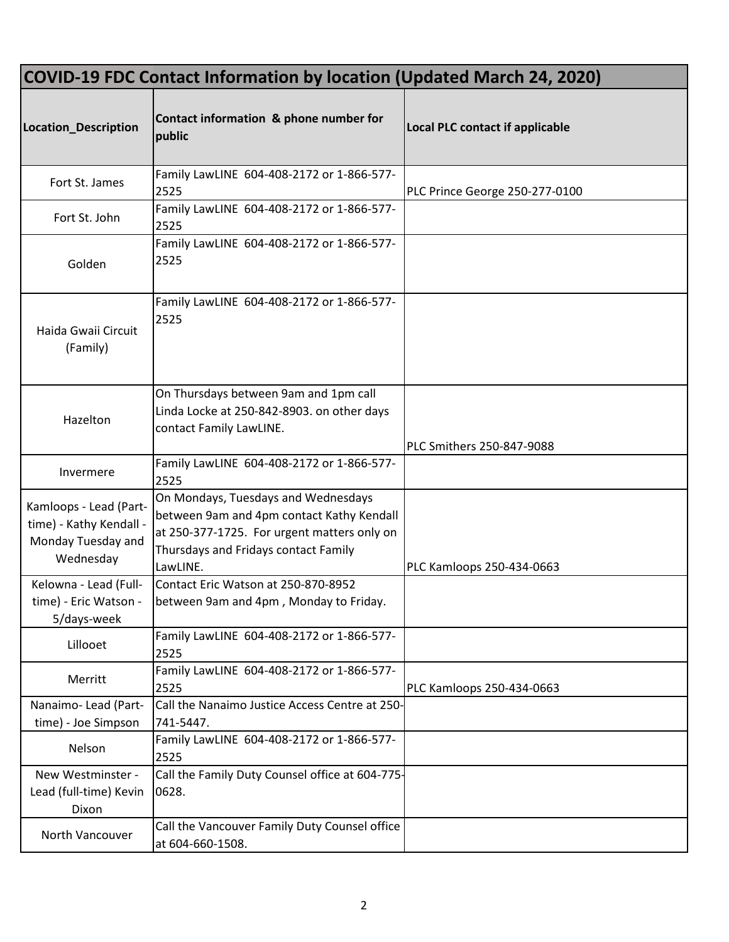| <b>COVID-19 FDC Contact Information by location (Updated March 24, 2020)</b>         |                                                                                                                                                                                     |                                        |  |
|--------------------------------------------------------------------------------------|-------------------------------------------------------------------------------------------------------------------------------------------------------------------------------------|----------------------------------------|--|
| Location_Description                                                                 | Contact information & phone number for<br>public                                                                                                                                    | <b>Local PLC contact if applicable</b> |  |
| Fort St. James                                                                       | Family LawLINE 604-408-2172 or 1-866-577-<br>2525                                                                                                                                   | PLC Prince George 250-277-0100         |  |
| Fort St. John                                                                        | Family LawLINE 604-408-2172 or 1-866-577-<br>2525                                                                                                                                   |                                        |  |
| Golden                                                                               | Family LawLINE 604-408-2172 or 1-866-577-<br>2525                                                                                                                                   |                                        |  |
| Haida Gwaii Circuit<br>(Family)                                                      | Family LawLINE 604-408-2172 or 1-866-577-<br>2525                                                                                                                                   |                                        |  |
| Hazelton                                                                             | On Thursdays between 9am and 1pm call<br>Linda Locke at 250-842-8903. on other days<br>contact Family LawLINE.                                                                      | PLC Smithers 250-847-9088              |  |
| Invermere                                                                            | Family LawLINE 604-408-2172 or 1-866-577-<br>2525                                                                                                                                   |                                        |  |
| Kamloops - Lead (Part-<br>time) - Kathy Kendall -<br>Monday Tuesday and<br>Wednesday | On Mondays, Tuesdays and Wednesdays<br>between 9am and 4pm contact Kathy Kendall<br>at 250-377-1725. For urgent matters only on<br>Thursdays and Fridays contact Family<br>LawLINE. | PLC Kamloops 250-434-0663              |  |
| Kelowna - Lead (Full-<br>time) - Eric Watson -<br>5/days-week                        | Contact Eric Watson at 250-870-8952<br>between 9am and 4pm, Monday to Friday.                                                                                                       |                                        |  |
| Lillooet                                                                             | Family LawLINE 604-408-2172 or 1-866-577-<br>2525                                                                                                                                   |                                        |  |
| Merritt                                                                              | Family LawLINE 604-408-2172 or 1-866-577-<br>2525                                                                                                                                   | PLC Kamloops 250-434-0663              |  |
| Nanaimo-Lead (Part-<br>time) - Joe Simpson                                           | Call the Nanaimo Justice Access Centre at 250-<br>741-5447.                                                                                                                         |                                        |  |
| Nelson                                                                               | Family LawLINE 604-408-2172 or 1-866-577-<br>2525                                                                                                                                   |                                        |  |
| New Westminster -<br>Lead (full-time) Kevin<br>Dixon                                 | Call the Family Duty Counsel office at 604-775-<br>0628.                                                                                                                            |                                        |  |
| North Vancouver                                                                      | Call the Vancouver Family Duty Counsel office<br>at 604-660-1508.                                                                                                                   |                                        |  |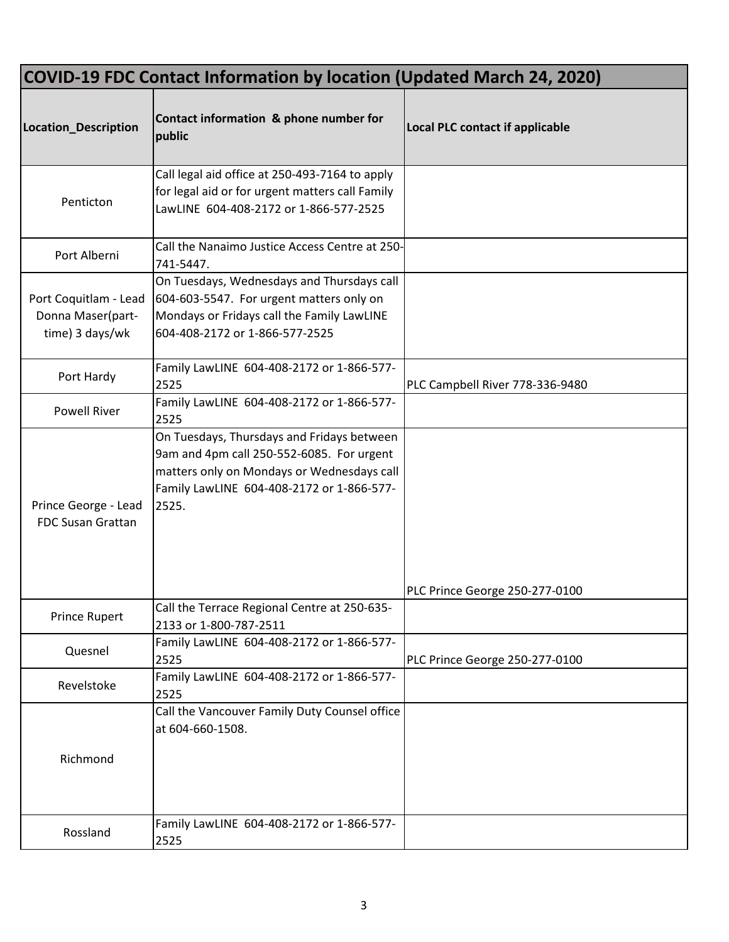| <b>COVID-19 FDC Contact Information by location (Updated March 24, 2020)</b> |                                                                                                                                                                                             |                                        |  |
|------------------------------------------------------------------------------|---------------------------------------------------------------------------------------------------------------------------------------------------------------------------------------------|----------------------------------------|--|
| Location_Description                                                         | Contact information & phone number for<br>public                                                                                                                                            | <b>Local PLC contact if applicable</b> |  |
| Penticton                                                                    | Call legal aid office at 250-493-7164 to apply<br>for legal aid or for urgent matters call Family<br>LawLINE 604-408-2172 or 1-866-577-2525                                                 |                                        |  |
| Port Alberni                                                                 | Call the Nanaimo Justice Access Centre at 250-<br>741-5447.                                                                                                                                 |                                        |  |
| Port Coquitlam - Lead<br>Donna Maser(part-<br>time) 3 days/wk                | On Tuesdays, Wednesdays and Thursdays call<br>604-603-5547. For urgent matters only on<br>Mondays or Fridays call the Family LawLINE<br>604-408-2172 or 1-866-577-2525                      |                                        |  |
| Port Hardy                                                                   | Family LawLINE 604-408-2172 or 1-866-577-<br>2525                                                                                                                                           | PLC Campbell River 778-336-9480        |  |
| <b>Powell River</b>                                                          | Family LawLINE 604-408-2172 or 1-866-577-<br>2525                                                                                                                                           |                                        |  |
| Prince George - Lead<br><b>FDC Susan Grattan</b>                             | On Tuesdays, Thursdays and Fridays between<br>9am and 4pm call 250-552-6085. For urgent<br>matters only on Mondays or Wednesdays call<br>Family LawLINE 604-408-2172 or 1-866-577-<br>2525. |                                        |  |
| Prince Rupert                                                                | Call the Terrace Regional Centre at 250-635-<br>2133 or 1-800-787-2511                                                                                                                      | PLC Prince George 250-277-0100         |  |
| Quesnel                                                                      | Family LawLINE 604-408-2172 or 1-866-577-<br>2525                                                                                                                                           | PLC Prince George 250-277-0100         |  |
| Revelstoke                                                                   | Family LawLINE 604-408-2172 or 1-866-577-<br>2525                                                                                                                                           |                                        |  |
| Richmond                                                                     | Call the Vancouver Family Duty Counsel office<br>at 604-660-1508.                                                                                                                           |                                        |  |
| Rossland                                                                     | Family LawLINE 604-408-2172 or 1-866-577-<br>2525                                                                                                                                           |                                        |  |